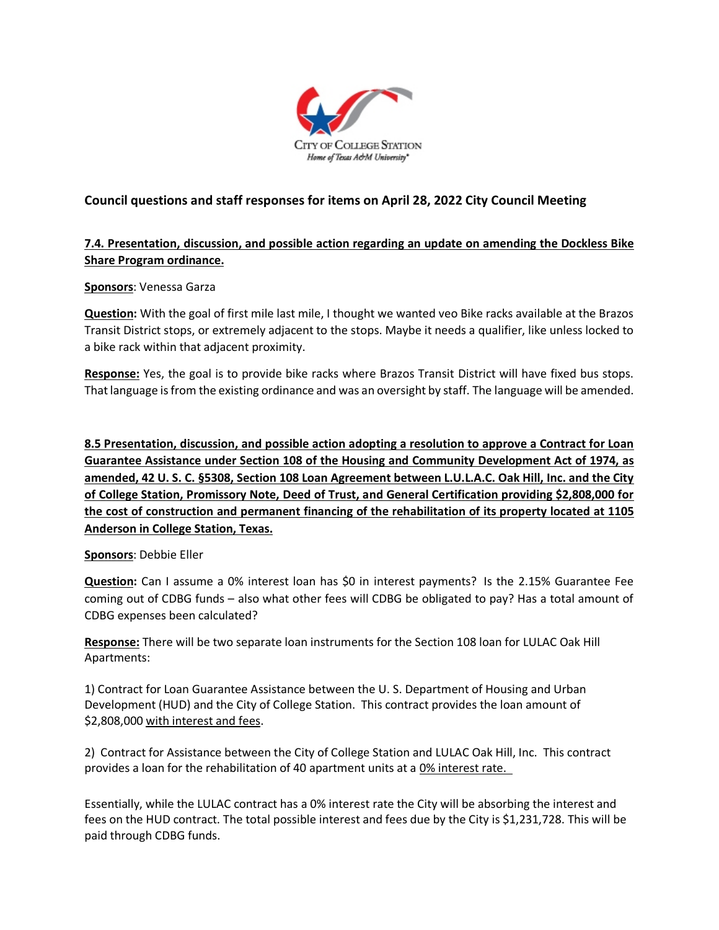

# **Council questions and staff responses for items on April 28, 2022 City Council Meeting**

# **7.4. Presentation, discussion, and possible action regarding an update on amending the Dockless Bike Share Program ordinance.**

### **Sponsors**: Venessa Garza

**Question:** With the goal of first mile last mile, I thought we wanted veo Bike racks available at the Brazos Transit District stops, or extremely adjacent to the stops. Maybe it needs a qualifier, like unless locked to a bike rack within that adjacent proximity.

**Response:** Yes, the goal is to provide bike racks where Brazos Transit District will have fixed bus stops. That language is from the existing ordinance and was an oversight by staff. The language will be amended.

**8.5 Presentation, discussion, and possible action adopting a resolution to approve a Contract for Loan Guarantee Assistance under Section 108 of the Housing and Community Development Act of 1974, as amended, 42 U. S. C. §5308, Section 108 Loan Agreement between L.U.L.A.C. Oak Hill, Inc. and the City of College Station, Promissory Note, Deed of Trust, and General Certification providing \$2,808,000 for the cost of construction and permanent financing of the rehabilitation of its property located at 1105 Anderson in College Station, Texas.**

#### **Sponsors**: Debbie Eller

**Question:** Can I assume a 0% interest loan has \$0 in interest payments? Is the 2.15% Guarantee Fee coming out of CDBG funds – also what other fees will CDBG be obligated to pay? Has a total amount of CDBG expenses been calculated?

**Response:** There will be two separate loan instruments for the Section 108 loan for LULAC Oak Hill Apartments:

1) Contract for Loan Guarantee Assistance between the U. S. Department of Housing and Urban Development (HUD) and the City of College Station. This contract provides the loan amount of \$2,808,000 with interest and fees.

2) Contract for Assistance between the City of College Station and LULAC Oak Hill, Inc. This contract provides a loan for the rehabilitation of 40 apartment units at a 0% interest rate.

Essentially, while the LULAC contract has a 0% interest rate the City will be absorbing the interest and fees on the HUD contract. The total possible interest and fees due by the City is \$1,231,728. This will be paid through CDBG funds.